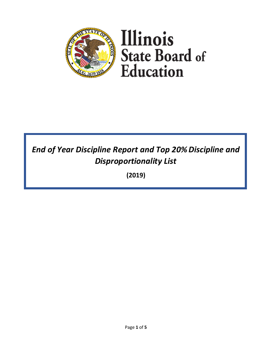

# *End of Year Discipline Report and Top 20% Discipline and Disproportionality List*

**(2019)**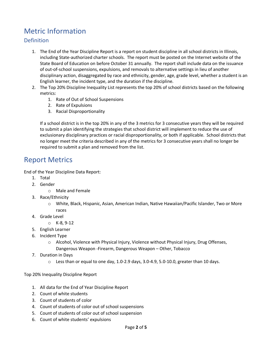# Metric Information

# Definition

- 1. The End of the Year Discipline Report is a report on student discipline in all school districts in Illinois, including State-authorized charter schools. The report must be posted on the Internet website of the State Board of Education on before October 31 annually. The report shall include data on the issuance of out-of-school suspensions, expulsions, and removals to alternative settings in lieu of another disciplinary action, disaggregated by race and ethnicity, gender, age, grade level, whether a student is an English learner, the incident type, and the duration if the discipline.
- 2. The Top 20% Discipline Inequality List represents the top 20% of school districts based on the following metrics:
	- 1. Rate of Out of School Suspensions
	- 2. Rate of Expulsions
	- 3. Racial Disproportionality

If a school district is in the top 20% in any of the 3 metrics for 3 consecutive years they will be required to submit a plan identifying the strategies that school district will implement to reduce the use of exclusionary disciplinary practices or racial disproportionality, or both if applicable. School districts that no longer meet the criteria described in any of the metrics for 3 consecutive years shall no longer be required to submit a plan and removed from the list.

# Report Metrics

End of the Year Discipline Data Report:

- 1. Total
- 2. Gender
	- o Male and Female
- 3. Race/Ethnicity
	- o White, Black, Hispanic, Asian, American Indian, Native Hawaiian/Pacific Islander, Two or More races
- 4. Grade Level
	- o K-8, 9-12
- 5. English Learner
- 6. Incident Type
	- o Alcohol, Violence with Physical Injury, Violence without Physical Injury, Drug Offenses, Dangerous Weapon -Firearm, Dangerous Weapon – Other, Tobacco
- 7. Duration in Days
	- $\circ$  Less than or equal to one day, 1.0-2.9 days, 3.0-4.9, 5.0-10.0, greater than 10 days.

Top 20% Inequality Discipline Report

- 1. All data for the End of Year Discipline Report
- 2. Count of white students
- 3. Count of students of color
- 4. Count of students of color out of school suspensions
- 5. Count of students of color out of school suspension
- 6. Count of white students' expulsions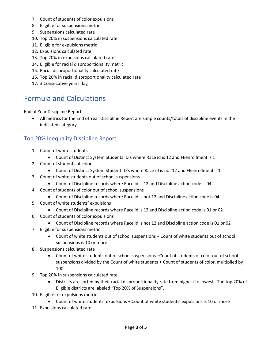- 7. Count of students of color expulsions
- 8. Eligible for suspensions metric
- 9. Suspensions calculated rate
- 10. Top 20% in suspensions calculated rate
- 11. Eligible for expulsions metric
- 12. Expulsions calculated rate
- 13. Top 20% in expulsions calculated rate
- 14. Eligible for racial disproportionality metric
- 15. Racial disproportionality calculated rate
- 16. Top 20% in racial disproportionality calculated rate
- 17. 3 Consecutive years flag

# Formula and Calculations

End of Year Discipline Report

• All metrics for the End of Year Discipline Report are simple counts/totals of discipline events in the indicated category.

### Top 20% Inequality Discipline Report:

- 1. Count of white students
	- Count of Distinct System Students ID's where Race id is 12 and FEenrollment is 1
- 2. Count of students of color
	- Count of Distinct System Student ID's where Race id is not 12 and FEenrollment = 1
- 3. Count of white students out of school suspensions
	- Count of Discipline records where Race id is 12 and Discipline action code is 04
- 4. Count of students of color out of school suspensions
	- Count of Discipline records where Race id is not 12 and Discipline action code is 04
- 5. Count of white students' expulsions
	- Count of Discipline records where Race id is 12 and Discipline action code is 01 or 02
- 6. Count of students of color expulsions
	- Count of Discipline records where Race id is not 12 and Discipline action code is 01 or 02
- 7. Eligible for suspensions metric
	- Count of white students out of school suspensions + Count of white students out of school suspensions is 10 or more
- 8. Suspensions calculated rate
	- Count of white students out of school suspensions +Count of students of color out of school suspensions divided by the Count of white students + Count of students of color, multiplied by 100.
- 9. Top 20% in suspensions calculated rate
	- Districts are sorted by their racial disproportionality rate from highest to lowest. The top 20% of Eligible districts are labeled "Top 20% of Suspensions".
- 10. Eligible for expulsions metric
	- Count of white students' expulsions + Count of white students' expulsions is 10 or more
- 11. Expulsions calculated rate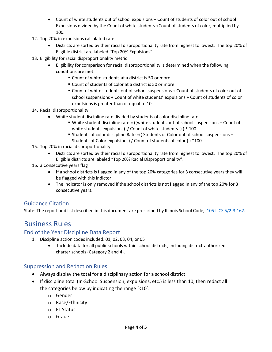- Count of white students out of school expulsions + Count of students of color out of school Expulsions divided by the Count of white students +Count of students of color, multiplied by 100.
- 12. Top 20% in expulsions calculated rate
	- Districts are sorted by their racial disproportionality rate from highest to lowest. The top 20% of Eligible district are labeled "Top 20% Expulsions".
- 13. Eligibility for racial disproportionality metric
	- Eligibility for comparison for racial disproportionality is determined when the following conditions are met:
		- Count of white students at a district is 50 or more
		- Count of students of color at a district is 50 or more
		- Count of white students out of school suspensions + Count of students of color out of school suspensions + Count of white students' expulsions + Count of students of color expulsions is greater than or equal to 10

#### 14. Racial disproportionality

- White student discipline rate divided by students of color discipline rate
	- $\blacksquare$  White student discipline rate = ((white students out of school suspensions + Count of white students expulsions) / Count of white students ) ) \* 100
	- Students of color discipline Rate =(( Students of Color out of school suspensions + Students of Color expulsions) / Count of students of color ) ) \*100
- 15. Top 20% in racial disproportionality
	- Districts are sorted by their racial disproportionality rate from highest to lowest. The top 20% of Eligible districts are labeled "Top 20% Racial Disproportionality".
- 16. 3 Consecutive years flag
	- If a school districts is flagged in any of the top 20% categories for 3 consecutive years they will be flagged with this indictor
	- The indicator is only removed if the school districts is not flagged in any of the top 20% for 3 consecutive years.

## Guidance Citation

State: The report and list described in this document are prescribed by Illinois School Code, [105 ILCS 5/2-3.162.](http://www.ilga.gov/legislation/ilcs/fulltext.asp?DocName=010500050K2-3.162)

# Business Rules

### End of the Year Discipline Data Report

- 1. Discipline action codes included: 01, 02, 03, 04, or 05
	- Include data for all public schools within school districts, including district-authorized charter schools (Category 2 and 4).

### Suppression and Redaction Rules

- Always display the total for a disciplinary action for a school district
- If discipline total (In-School Suspension, expulsions, etc.) is less than 10, then redact all the categories below by indicating the range '<10':
	- o Gender
	- o Race/Ethnicity
	- o EL Status
	- o Grade